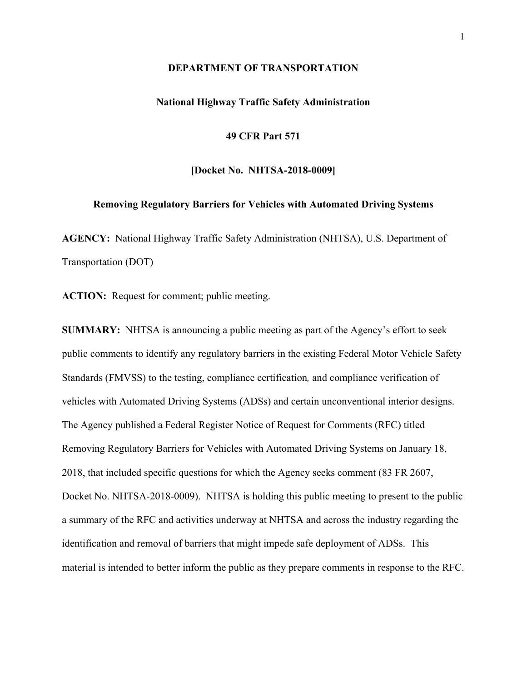#### **DEPARTMENT OF TRANSPORTATION**

## **National Highway Traffic Safety Administration**

**49 CFR Part 571**

**[Docket No. NHTSA-2018-0009]**

#### **Removing Regulatory Barriers for Vehicles with Automated Driving Systems**

**AGENCY:** National Highway Traffic Safety Administration (NHTSA), U.S. Department of Transportation (DOT)

**ACTION:** Request for comment; public meeting.

**SUMMARY:** NHTSA is announcing a public meeting as part of the Agency's effort to seek public comments to identify any regulatory barriers in the existing Federal Motor Vehicle Safety Standards (FMVSS) to the testing, compliance certification*,* and compliance verification of vehicles with Automated Driving Systems (ADSs) and certain unconventional interior designs. The Agency published a Federal Register Notice of Request for Comments (RFC) titled Removing Regulatory Barriers for Vehicles with Automated Driving Systems on January 18, 2018, that included specific questions for which the Agency seeks comment (83 FR 2607, Docket No. NHTSA-2018-0009). NHTSA is holding this public meeting to present to the public a summary of the RFC and activities underway at NHTSA and across the industry regarding the identification and removal of barriers that might impede safe deployment of ADSs. This material is intended to better inform the public as they prepare comments in response to the RFC.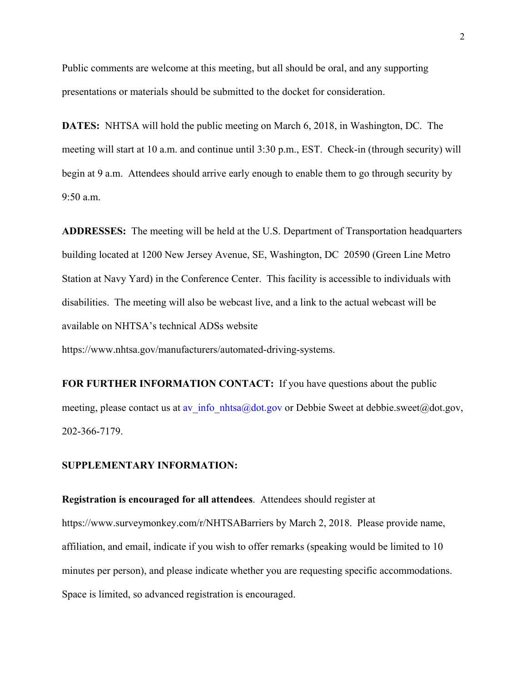Public comments are welcome at this meeting, but all should be oral, and any supporting presentations or materials should be submitted to the docket for consideration.

**DATES:** NHTSA will hold the public meeting on March 6, 2018, in Washington, DC. The meeting will start at 10 a.m. and continue until 3:30 p.m., EST. Check-in (through security) will begin at 9 a.m. Attendees should arrive early enough to enable them to go through security by 9:50 a.m.

**ADDRESSES:** The meeting will be held at the U.S. Department of Transportation headquarters building located at 1200 New Jersey Avenue, SE, Washington, DC 20590 (Green Line Metro Station at Navy Yard) in the Conference Center. This facility is accessible to individuals with disabilities. The meeting will also be webcast live, and a link to the actual webcast will be available on NHTSA's technical ADSs website

https://www.nhtsa.gov/manufacturers/automated-driving-systems.

**FOR FURTHER INFORMATION CONTACT:** If you have questions about the public meeting, please contact us at av info\_nhtsa@dot.gov or Debbie Sweet at debbie.sweet@dot.gov, 202-366-7179.

## **SUPPLEMENTARY INFORMATION:**

**Registration is encouraged for all attendees**. Attendees should register at https://www.surveymonkey.com/r/NHTSABarriers by March 2, 2018. Please provide name, affiliation, and email, indicate if you wish to offer remarks (speaking would be limited to 10 minutes per person), and please indicate whether you are requesting specific accommodations. Space is limited, so advanced registration is encouraged.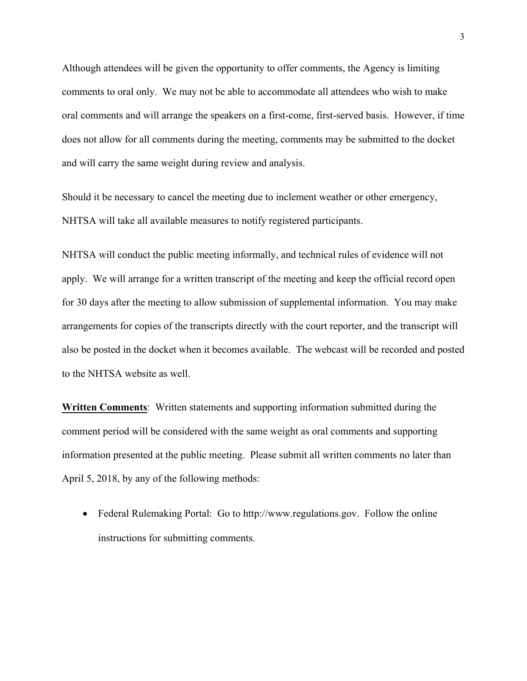Although attendees will be given the opportunity to offer comments, the Agency is limiting comments to oral only. We may not be able to accommodate all attendees who wish to make oral comments and will arrange the speakers on a first-come, first-served basis. However, if time does not allow for all comments during the meeting, comments may be submitted to the docket and will carry the same weight during review and analysis.

Should it be necessary to cancel the meeting due to inclement weather or other emergency, NHTSA will take all available measures to notify registered participants.

NHTSA will conduct the public meeting informally, and technical rules of evidence will not apply. We will arrange for a written transcript of the meeting and keep the official record open for 30 days after the meeting to allow submission of supplemental information. You may make arrangements for copies of the transcripts directly with the court reporter, and the transcript will also be posted in the docket when it becomes available. The webcast will be recorded and posted to the NHTSA website as well.

**Written Comments**: Written statements and supporting information submitted during the comment period will be considered with the same weight as oral comments and supporting information presented at the public meeting. Please submit all written comments no later than April 5, 2018, by any of the following methods:

• Federal Rulemaking Portal: Go to http://www.regulations.gov. Follow the online instructions for submitting comments.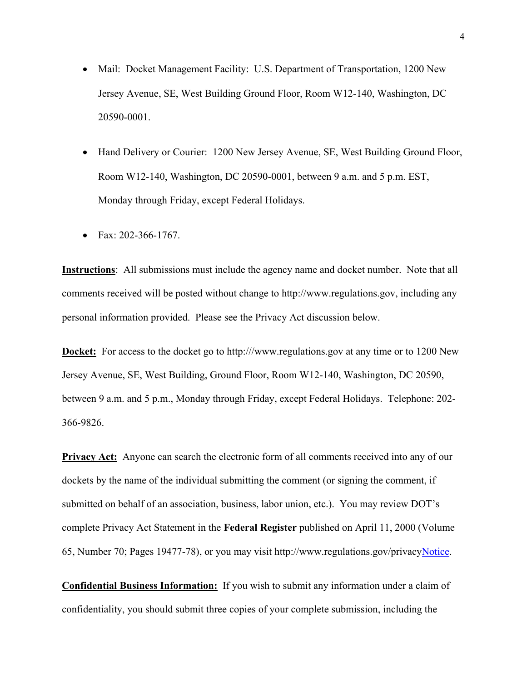- Mail: Docket Management Facility: U.S. Department of Transportation, 1200 New Jersey Avenue, SE, West Building Ground Floor, Room W12-140, Washington, DC 20590-0001.
- Hand Delivery or Courier: 1200 New Jersey Avenue, SE, West Building Ground Floor, Room W12-140, Washington, DC 20590-0001, between 9 a.m. and 5 p.m. EST, Monday through Friday, except Federal Holidays.
- Fax: 202-366-1767.

**Instructions**: All submissions must include the agency name and docket number. Note that all comments received will be posted without change to http://www.regulations.gov, including any personal information provided. Please see the Privacy Act discussion below.

**Docket:** For access to the docket go to http:///www.regulations.gov at any time or to 1200 New Jersey Avenue, SE, West Building, Ground Floor, Room W12-140, Washington, DC 20590, between 9 a.m. and 5 p.m., Monday through Friday, except Federal Holidays. Telephone: 202- 366-9826.

**Privacy Act:** Anyone can search the electronic form of all comments received into any of our dockets by the name of the individual submitting the comment (or signing the comment, if submitted on behalf of an association, business, labor union, etc.). You may review DOT's complete Privacy Act Statement in the **Federal Register** published on April 11, 2000 (Volume 65, Number 70; Pages 19477-78), or you may visit http://www.regulations.gov/privacyNotice.

**Confidential Business Information:** If you wish to submit any information under a claim of confidentiality, you should submit three copies of your complete submission, including the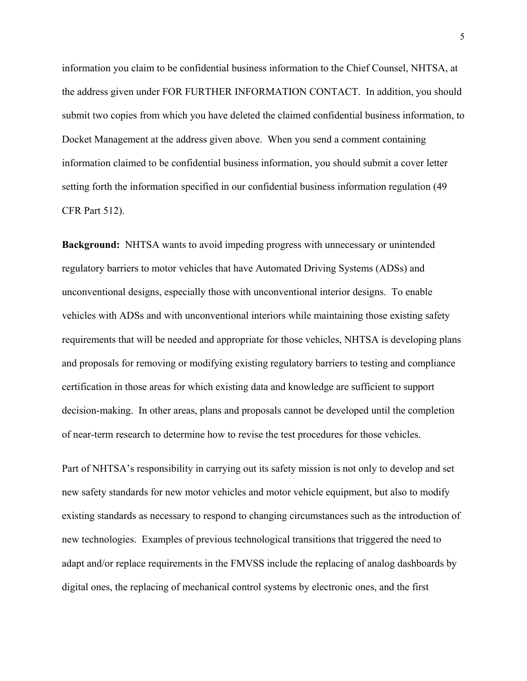information you claim to be confidential business information to the Chief Counsel, NHTSA, at the address given under FOR FURTHER INFORMATION CONTACT. In addition, you should submit two copies from which you have deleted the claimed confidential business information, to Docket Management at the address given above. When you send a comment containing information claimed to be confidential business information, you should submit a cover letter setting forth the information specified in our confidential business information regulation (49 CFR Part 512).

**Background:** NHTSA wants to avoid impeding progress with unnecessary or unintended regulatory barriers to motor vehicles that have Automated Driving Systems (ADSs) and unconventional designs, especially those with unconventional interior designs. To enable vehicles with ADSs and with unconventional interiors while maintaining those existing safety requirements that will be needed and appropriate for those vehicles, NHTSA is developing plans and proposals for removing or modifying existing regulatory barriers to testing and compliance certification in those areas for which existing data and knowledge are sufficient to support decision-making. In other areas, plans and proposals cannot be developed until the completion of near-term research to determine how to revise the test procedures for those vehicles.

Part of NHTSA's responsibility in carrying out its safety mission is not only to develop and set new safety standards for new motor vehicles and motor vehicle equipment, but also to modify existing standards as necessary to respond to changing circumstances such as the introduction of new technologies. Examples of previous technological transitions that triggered the need to adapt and/or replace requirements in the FMVSS include the replacing of analog dashboards by digital ones, the replacing of mechanical control systems by electronic ones, and the first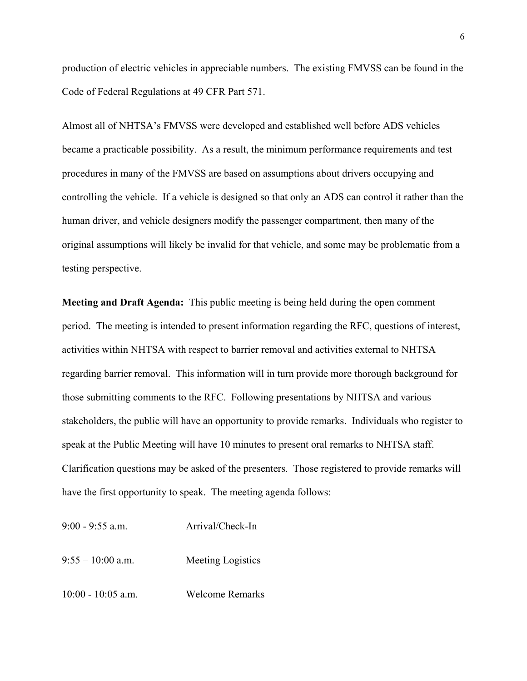production of electric vehicles in appreciable numbers. The existing FMVSS can be found in the Code of Federal Regulations at 49 CFR Part 571.

Almost all of NHTSA's FMVSS were developed and established well before ADS vehicles became a practicable possibility. As a result, the minimum performance requirements and test procedures in many of the FMVSS are based on assumptions about drivers occupying and controlling the vehicle. If a vehicle is designed so that only an ADS can control it rather than the human driver, and vehicle designers modify the passenger compartment, then many of the original assumptions will likely be invalid for that vehicle, and some may be problematic from a testing perspective.

**Meeting and Draft Agenda:** This public meeting is being held during the open comment period. The meeting is intended to present information regarding the RFC, questions of interest, activities within NHTSA with respect to barrier removal and activities external to NHTSA regarding barrier removal. This information will in turn provide more thorough background for those submitting comments to the RFC. Following presentations by NHTSA and various stakeholders, the public will have an opportunity to provide remarks. Individuals who register to speak at the Public Meeting will have 10 minutes to present oral remarks to NHTSA staff. Clarification questions may be asked of the presenters. Those registered to provide remarks will have the first opportunity to speak. The meeting agenda follows:

9:00 - 9:55 a.m. Arrival/Check-In 9:55 – 10:00 a.m. Meeting Logistics 10:00 - 10:05 a.m. Welcome Remarks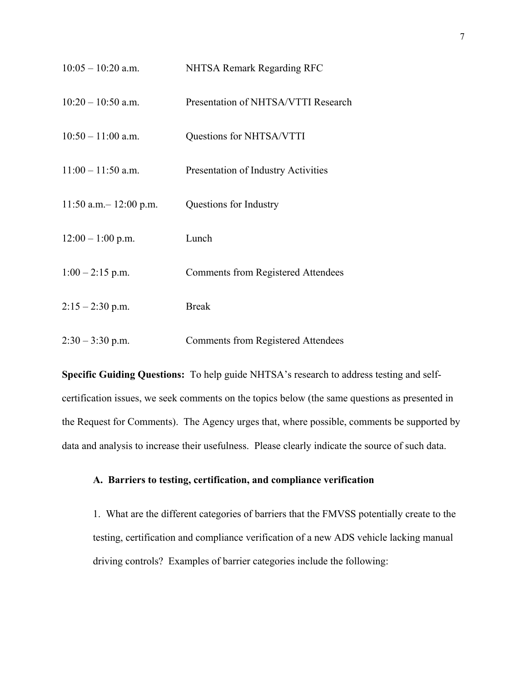| $10:05 - 10:20$ a.m.      | NHTSA Remark Regarding RFC                |
|---------------------------|-------------------------------------------|
| $10:20 - 10:50$ a.m.      | Presentation of NHTSA/VTTI Research       |
| $10:50 - 11:00$ a.m.      | Questions for NHTSA/VTTI                  |
| $11:00 - 11:50$ a.m.      | Presentation of Industry Activities       |
| $11:50$ a.m. - 12:00 p.m. | Questions for Industry                    |
| $12:00 - 1:00$ p.m.       | Lunch                                     |
| $1:00 - 2:15$ p.m.        | Comments from Registered Attendees        |
| $2:15 - 2:30$ p.m.        | <b>Break</b>                              |
| $2:30 - 3:30$ p.m.        | <b>Comments from Registered Attendees</b> |

**Specific Guiding Questions:** To help guide NHTSA's research to address testing and selfcertification issues, we seek comments on the topics below (the same questions as presented in the Request for Comments). The Agency urges that, where possible, comments be supported by data and analysis to increase their usefulness. Please clearly indicate the source of such data.

# **A. Barriers to testing, certification, and compliance verification**

1. What are the different categories of barriers that the FMVSS potentially create to the testing, certification and compliance verification of a new ADS vehicle lacking manual driving controls? Examples of barrier categories include the following: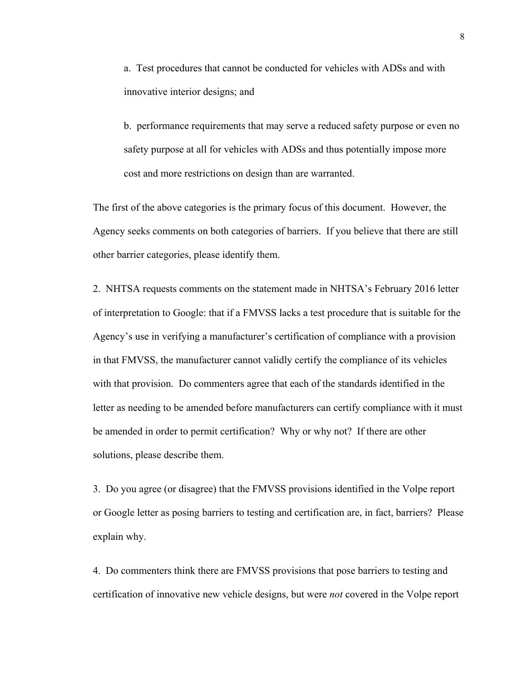a. Test procedures that cannot be conducted for vehicles with ADSs and with innovative interior designs; and

b. performance requirements that may serve a reduced safety purpose or even no safety purpose at all for vehicles with ADSs and thus potentially impose more cost and more restrictions on design than are warranted.

The first of the above categories is the primary focus of this document. However, the Agency seeks comments on both categories of barriers. If you believe that there are still other barrier categories, please identify them.

2. NHTSA requests comments on the statement made in NHTSA's February 2016 letter of interpretation to Google: that if a FMVSS lacks a test procedure that is suitable for the Agency's use in verifying a manufacturer's certification of compliance with a provision in that FMVSS, the manufacturer cannot validly certify the compliance of its vehicles with that provision. Do commenters agree that each of the standards identified in the letter as needing to be amended before manufacturers can certify compliance with it must be amended in order to permit certification? Why or why not? If there are other solutions, please describe them.

3. Do you agree (or disagree) that the FMVSS provisions identified in the Volpe report or Google letter as posing barriers to testing and certification are, in fact, barriers? Please explain why.

4. Do commenters think there are FMVSS provisions that pose barriers to testing and certification of innovative new vehicle designs, but were *not* covered in the Volpe report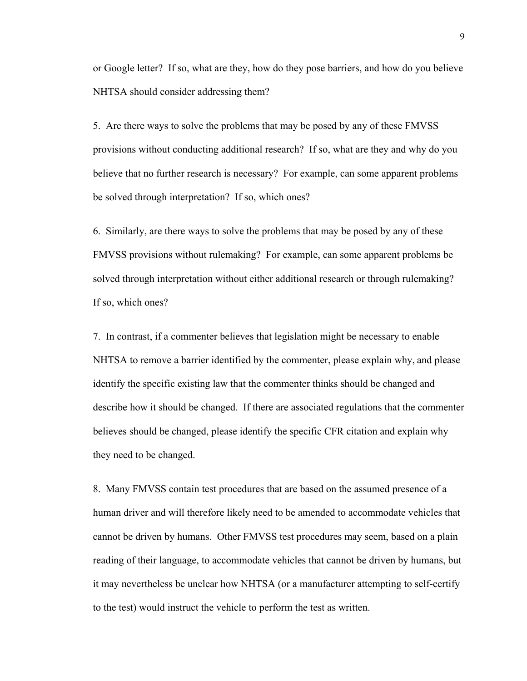or Google letter? If so, what are they, how do they pose barriers, and how do you believe NHTSA should consider addressing them?

5. Are there ways to solve the problems that may be posed by any of these FMVSS provisions without conducting additional research? If so, what are they and why do you believe that no further research is necessary? For example, can some apparent problems be solved through interpretation? If so, which ones?

6. Similarly, are there ways to solve the problems that may be posed by any of these FMVSS provisions without rulemaking? For example, can some apparent problems be solved through interpretation without either additional research or through rulemaking? If so, which ones?

7. In contrast, if a commenter believes that legislation might be necessary to enable NHTSA to remove a barrier identified by the commenter, please explain why, and please identify the specific existing law that the commenter thinks should be changed and describe how it should be changed. If there are associated regulations that the commenter believes should be changed, please identify the specific CFR citation and explain why they need to be changed.

8. Many FMVSS contain test procedures that are based on the assumed presence of a human driver and will therefore likely need to be amended to accommodate vehicles that cannot be driven by humans. Other FMVSS test procedures may seem, based on a plain reading of their language, to accommodate vehicles that cannot be driven by humans, but it may nevertheless be unclear how NHTSA (or a manufacturer attempting to self-certify to the test) would instruct the vehicle to perform the test as written.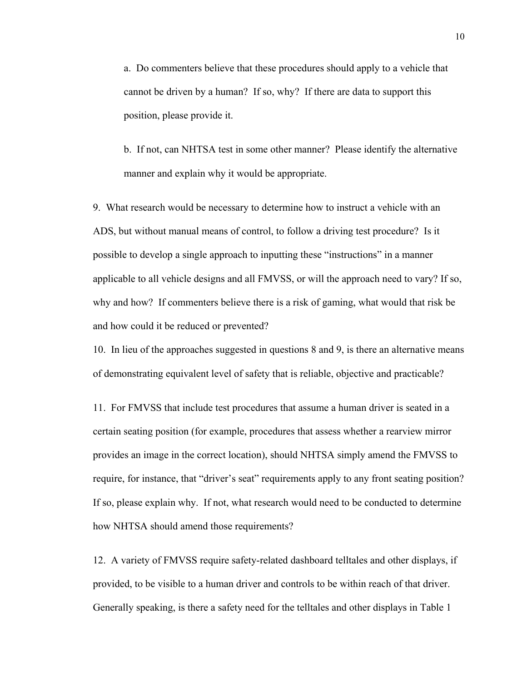a. Do commenters believe that these procedures should apply to a vehicle that cannot be driven by a human? If so, why? If there are data to support this position, please provide it.

b. If not, can NHTSA test in some other manner? Please identify the alternative manner and explain why it would be appropriate.

9. What research would be necessary to determine how to instruct a vehicle with an ADS, but without manual means of control, to follow a driving test procedure? Is it possible to develop a single approach to inputting these "instructions" in a manner applicable to all vehicle designs and all FMVSS, or will the approach need to vary? If so, why and how? If commenters believe there is a risk of gaming, what would that risk be and how could it be reduced or prevented?

10. In lieu of the approaches suggested in questions 8 and 9, is there an alternative means of demonstrating equivalent level of safety that is reliable, objective and practicable?

11. For FMVSS that include test procedures that assume a human driver is seated in a certain seating position (for example, procedures that assess whether a rearview mirror provides an image in the correct location), should NHTSA simply amend the FMVSS to require, for instance, that "driver's seat" requirements apply to any front seating position? If so, please explain why. If not, what research would need to be conducted to determine how NHTSA should amend those requirements?

12. A variety of FMVSS require safety-related dashboard telltales and other displays, if provided, to be visible to a human driver and controls to be within reach of that driver. Generally speaking, is there a safety need for the telltales and other displays in Table 1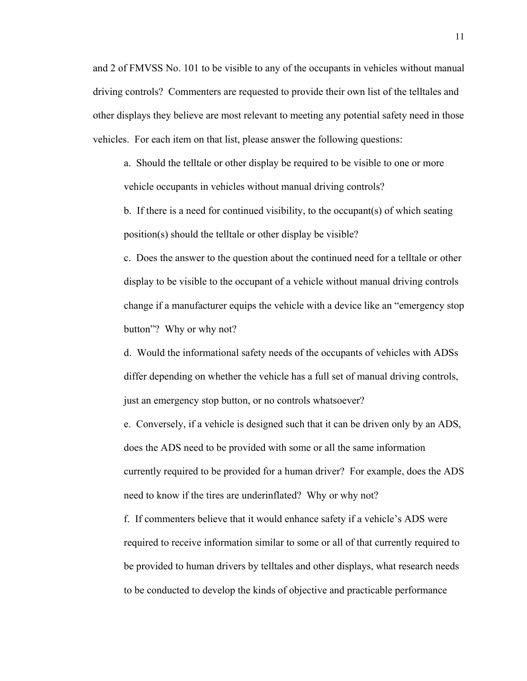and 2 of FMVSS No. 101 to be visible to any of the occupants in vehicles without manual driving controls? Commenters are requested to provide their own list of the telltales and other displays they believe are most relevant to meeting any potential safety need in those vehicles. For each item on that list, please answer the following questions:

a. Should the telltale or other display be required to be visible to one or more vehicle occupants in vehicles without manual driving controls?

b. If there is a need for continued visibility, to the occupant(s) of which seating position(s) should the telltale or other display be visible?

c. Does the answer to the question about the continued need for a telltale or other display to be visible to the occupant of a vehicle without manual driving controls change if a manufacturer equips the vehicle with a device like an "emergency stop button"? Why or why not?

d. Would the informational safety needs of the occupants of vehicles with ADSs differ depending on whether the vehicle has a full set of manual driving controls, just an emergency stop button, or no controls whatsoever?

e. Conversely, if a vehicle is designed such that it can be driven only by an ADS, does the ADS need to be provided with some or all the same information currently required to be provided for a human driver? For example, does the ADS need to know if the tires are underinflated? Why or why not?

f. If commenters believe that it would enhance safety if a vehicle's ADS were required to receive information similar to some or all of that currently required to be provided to human drivers by telltales and other displays, what research needs to be conducted to develop the kinds of objective and practicable performance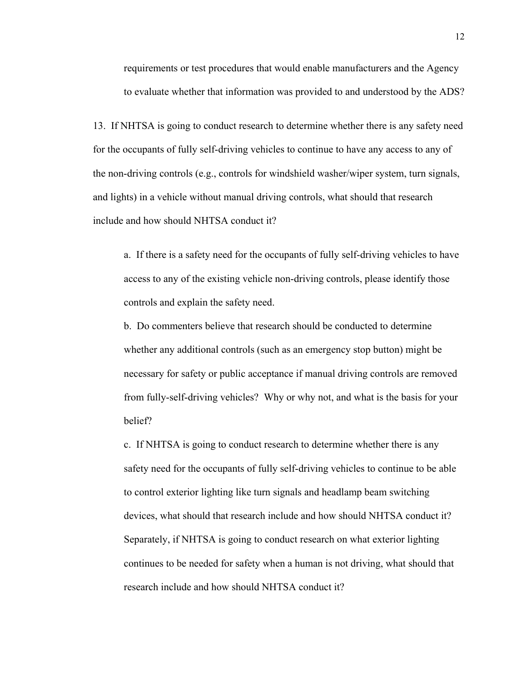requirements or test procedures that would enable manufacturers and the Agency to evaluate whether that information was provided to and understood by the ADS?

13. If NHTSA is going to conduct research to determine whether there is any safety need for the occupants of fully self-driving vehicles to continue to have any access to any of the non-driving controls (e.g., controls for windshield washer/wiper system, turn signals, and lights) in a vehicle without manual driving controls, what should that research include and how should NHTSA conduct it?

a. If there is a safety need for the occupants of fully self-driving vehicles to have access to any of the existing vehicle non-driving controls, please identify those controls and explain the safety need.

b. Do commenters believe that research should be conducted to determine whether any additional controls (such as an emergency stop button) might be necessary for safety or public acceptance if manual driving controls are removed from fully-self-driving vehicles? Why or why not, and what is the basis for your belief?

c. If NHTSA is going to conduct research to determine whether there is any safety need for the occupants of fully self-driving vehicles to continue to be able to control exterior lighting like turn signals and headlamp beam switching devices, what should that research include and how should NHTSA conduct it? Separately, if NHTSA is going to conduct research on what exterior lighting continues to be needed for safety when a human is not driving, what should that research include and how should NHTSA conduct it?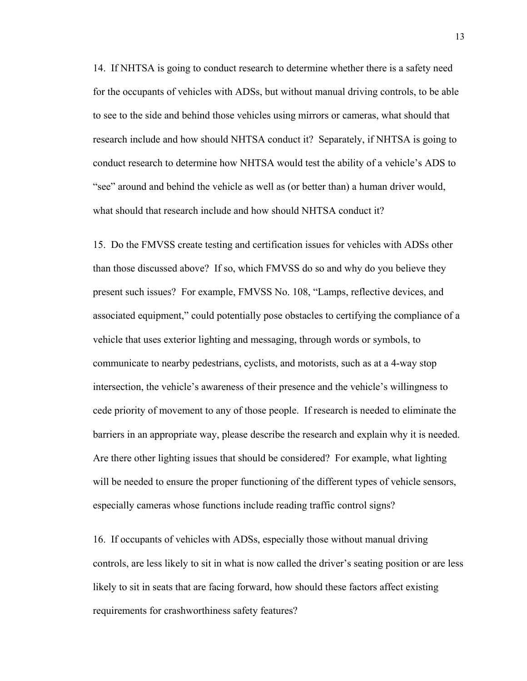14. If NHTSA is going to conduct research to determine whether there is a safety need for the occupants of vehicles with ADSs, but without manual driving controls, to be able to see to the side and behind those vehicles using mirrors or cameras, what should that research include and how should NHTSA conduct it? Separately, if NHTSA is going to conduct research to determine how NHTSA would test the ability of a vehicle's ADS to "see" around and behind the vehicle as well as (or better than) a human driver would, what should that research include and how should NHTSA conduct it?

15. Do the FMVSS create testing and certification issues for vehicles with ADSs other than those discussed above? If so, which FMVSS do so and why do you believe they present such issues? For example, FMVSS No. 108, "Lamps, reflective devices, and associated equipment," could potentially pose obstacles to certifying the compliance of a vehicle that uses exterior lighting and messaging, through words or symbols, to communicate to nearby pedestrians, cyclists, and motorists, such as at a 4-way stop intersection, the vehicle's awareness of their presence and the vehicle's willingness to cede priority of movement to any of those people. If research is needed to eliminate the barriers in an appropriate way, please describe the research and explain why it is needed. Are there other lighting issues that should be considered? For example, what lighting will be needed to ensure the proper functioning of the different types of vehicle sensors, especially cameras whose functions include reading traffic control signs?

16. If occupants of vehicles with ADSs, especially those without manual driving controls, are less likely to sit in what is now called the driver's seating position or are less likely to sit in seats that are facing forward, how should these factors affect existing requirements for crashworthiness safety features?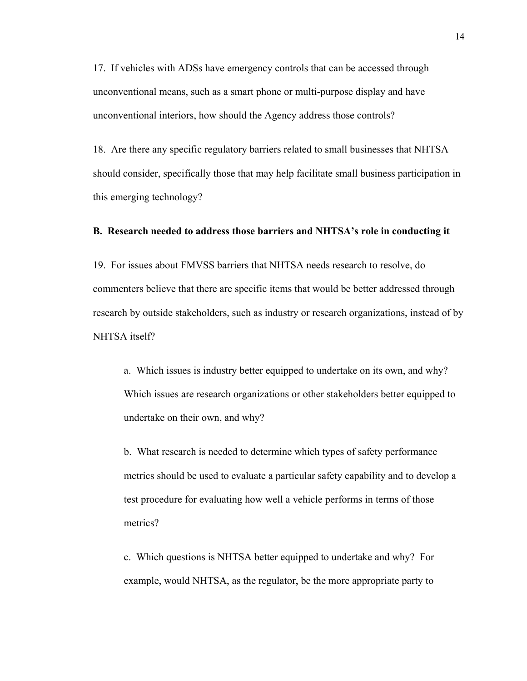17. If vehicles with ADSs have emergency controls that can be accessed through unconventional means, such as a smart phone or multi-purpose display and have unconventional interiors, how should the Agency address those controls?

18. Are there any specific regulatory barriers related to small businesses that NHTSA should consider, specifically those that may help facilitate small business participation in this emerging technology?

# **B. Research needed to address those barriers and NHTSA's role in conducting it**

19. For issues about FMVSS barriers that NHTSA needs research to resolve, do commenters believe that there are specific items that would be better addressed through research by outside stakeholders, such as industry or research organizations, instead of by NHTSA itself?

a. Which issues is industry better equipped to undertake on its own, and why? Which issues are research organizations or other stakeholders better equipped to undertake on their own, and why?

b. What research is needed to determine which types of safety performance metrics should be used to evaluate a particular safety capability and to develop a test procedure for evaluating how well a vehicle performs in terms of those metrics?

c. Which questions is NHTSA better equipped to undertake and why? For example, would NHTSA, as the regulator, be the more appropriate party to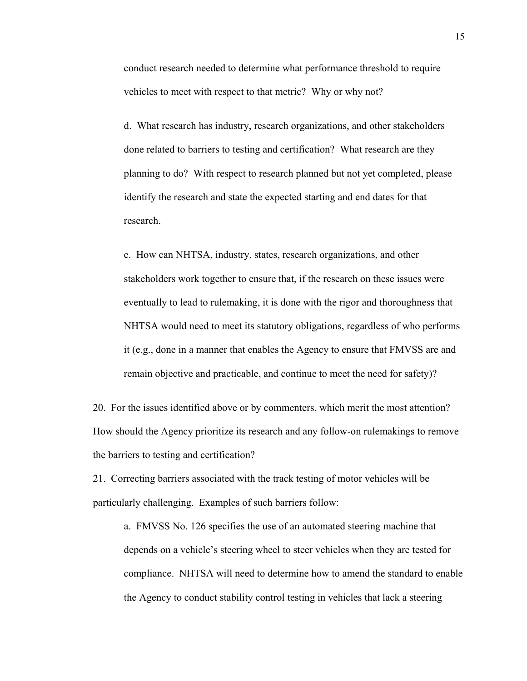conduct research needed to determine what performance threshold to require vehicles to meet with respect to that metric? Why or why not?

d. What research has industry, research organizations, and other stakeholders done related to barriers to testing and certification? What research are they planning to do? With respect to research planned but not yet completed, please identify the research and state the expected starting and end dates for that research.

e. How can NHTSA, industry, states, research organizations, and other stakeholders work together to ensure that, if the research on these issues were eventually to lead to rulemaking, it is done with the rigor and thoroughness that NHTSA would need to meet its statutory obligations, regardless of who performs it (e.g., done in a manner that enables the Agency to ensure that FMVSS are and remain objective and practicable, and continue to meet the need for safety)?

20. For the issues identified above or by commenters, which merit the most attention? How should the Agency prioritize its research and any follow-on rulemakings to remove the barriers to testing and certification?

21. Correcting barriers associated with the track testing of motor vehicles will be particularly challenging. Examples of such barriers follow:

a. FMVSS No. 126 specifies the use of an automated steering machine that depends on a vehicle's steering wheel to steer vehicles when they are tested for compliance. NHTSA will need to determine how to amend the standard to enable the Agency to conduct stability control testing in vehicles that lack a steering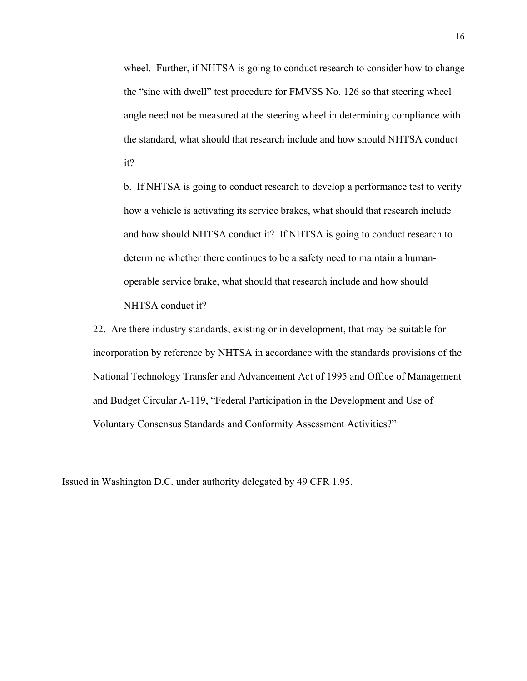wheel. Further, if NHTSA is going to conduct research to consider how to change the "sine with dwell" test procedure for FMVSS No. 126 so that steering wheel angle need not be measured at the steering wheel in determining compliance with the standard, what should that research include and how should NHTSA conduct it?

b. If NHTSA is going to conduct research to develop a performance test to verify how a vehicle is activating its service brakes, what should that research include and how should NHTSA conduct it? If NHTSA is going to conduct research to determine whether there continues to be a safety need to maintain a humanoperable service brake, what should that research include and how should NHTSA conduct it?

22. Are there industry standards, existing or in development, that may be suitable for incorporation by reference by NHTSA in accordance with the standards provisions of the National Technology Transfer and Advancement Act of 1995 and Office of Management and Budget Circular A-119, "Federal Participation in the Development and Use of Voluntary Consensus Standards and Conformity Assessment Activities?"

Issued in Washington D.C. under authority delegated by 49 CFR 1.95.